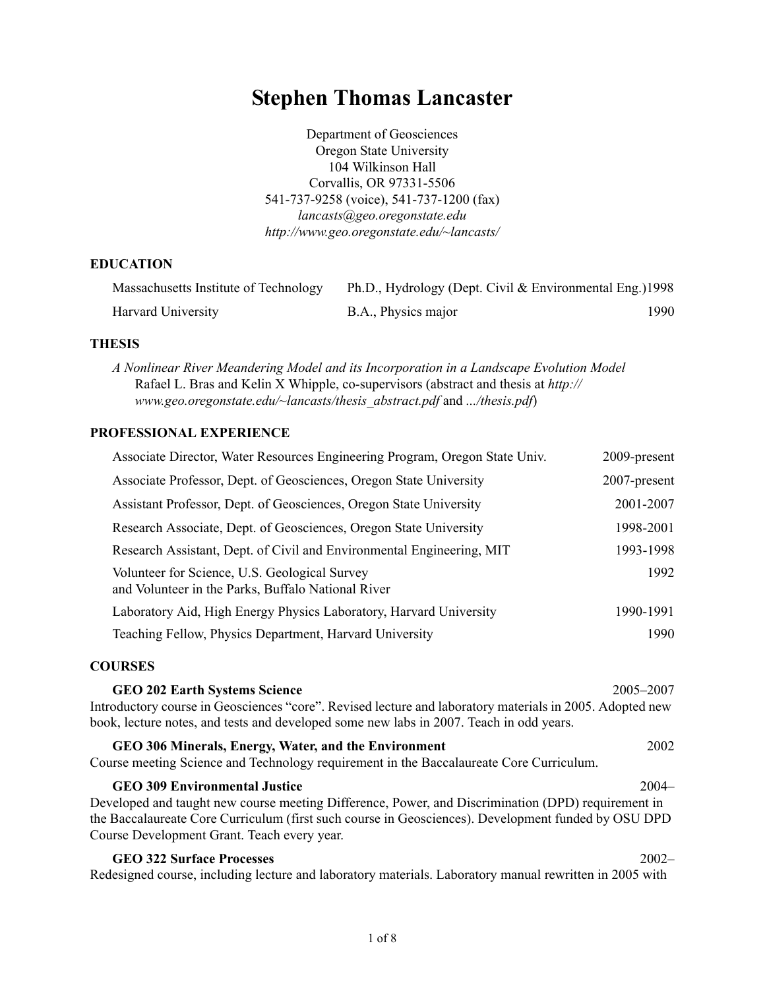# **Stephen Thomas Lancaster**

Department of Geosciences Oregon State University 104 Wilkinson Hall Corvallis, OR 97331-5506 541-737-9258 (voice), 541-737-1200 (fax) *lancasts@geo.oregonstate.edu <http://www.geo.oregonstate.edu/~lancasts/>*

# **EDUCATION**

| Massachusetts Institute of Technology | Ph.D., Hydrology (Dept. Civil & Environmental Eng.)1998 |      |
|---------------------------------------|---------------------------------------------------------|------|
| Harvard University                    | B.A., Physics major                                     | 1990 |

#### **THESIS**

*A Nonlinear River Meandering Model and its Incorporation in a Landscape Evolution Model* Rafael L. Bras and Kelin X Whipple, co-supervisors (abstract and thesis at *[http://](http://www.geo.oregonstate.edu/~lancasts/thesis_abstract.pdf) [www.geo.oregonstate.edu/~lancasts/thesis\\_abstract.pdf](http://www.geo.oregonstate.edu/~lancasts/thesis_abstract.pdf)* and *[.../thesis.pdf](http://www.geo.oregonstate.edu/~lancasts/thesis.pdf)*)

# **PROFESSIONAL EXPERIENCE**

| Associate Director, Water Resources Engineering Program, Oregon State Univ.                         | 2009-present |
|-----------------------------------------------------------------------------------------------------|--------------|
| Associate Professor, Dept. of Geosciences, Oregon State University                                  | 2007-present |
| Assistant Professor, Dept. of Geosciences, Oregon State University                                  | 2001-2007    |
| Research Associate, Dept. of Geosciences, Oregon State University                                   | 1998-2001    |
| Research Assistant, Dept. of Civil and Environmental Engineering, MIT                               | 1993-1998    |
| Volunteer for Science, U.S. Geological Survey<br>and Volunteer in the Parks, Buffalo National River | 1992         |
| Laboratory Aid, High Energy Physics Laboratory, Harvard University                                  | 1990-1991    |
| Teaching Fellow, Physics Department, Harvard University                                             | 1990         |

#### **COURSES**

**GEO 202 Earth Systems Science** 2005–2007 Introductory course in Geosciences "core". Revised lecture and laboratory materials in 2005. Adopted new book, lecture notes, and tests and developed some new labs in 2007. Teach in odd years. **GEO 306 Minerals, Energy, Water, and the Environment** 2002 Course meeting Science and Technology requirement in the Baccalaureate Core Curriculum. **GEO 309 Environmental Justice** 2004–

Developed and taught new course meeting Difference, Power, and Discrimination (DPD) requirement in the Baccalaureate Core Curriculum (first such course in Geosciences). Development funded by OSU DPD Course Development Grant. Teach every year.

| <b>GEO 322 Surface Processes</b>                                                                        | 2002– |
|---------------------------------------------------------------------------------------------------------|-------|
| Redesigned course, including lecture and laboratory materials. Laboratory manual rewritten in 2005 with |       |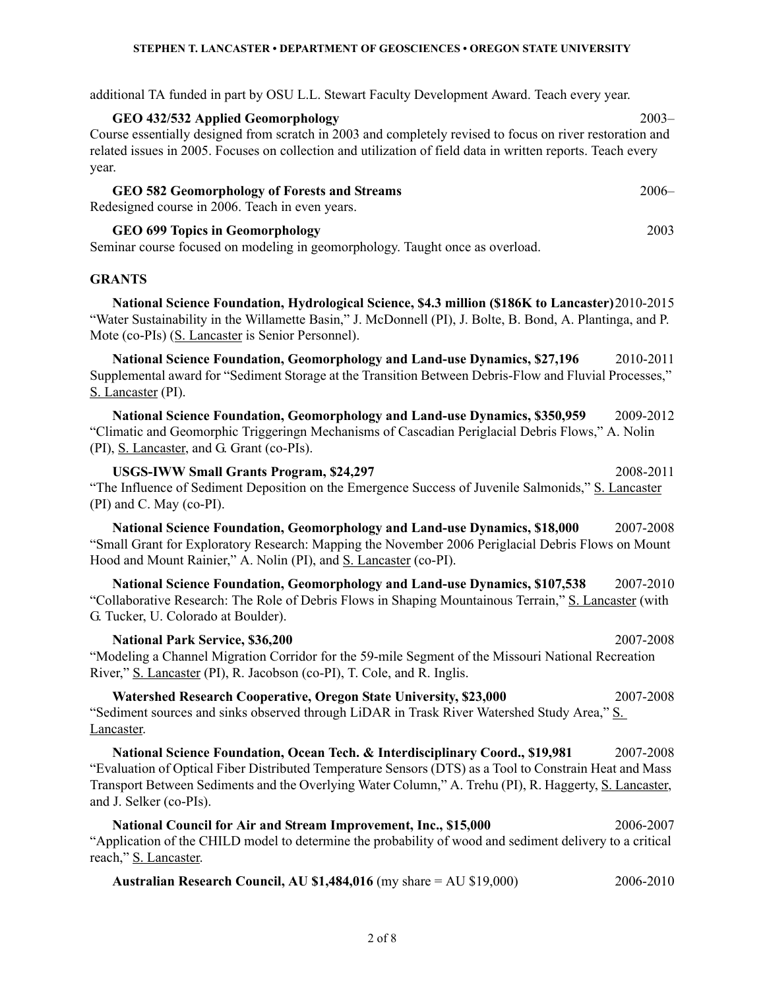additional TA funded in part by OSU L.L. Stewart Faculty Development Award. Teach every year.

**GEO 432/532 Applied Geomorphology** 2003– Course essentially designed from scratch in 2003 and completely revised to focus on river restoration and related issues in 2005. Focuses on collection and utilization of field data in written reports. Teach every year.

# **GEO 582 Geomorphology of Forests and Streams** 2006– Redesigned course in 2006. Teach in even years.

**GEO 699 Topics in Geomorphology** 2003

Seminar course focused on modeling in geomorphology. Taught once as overload.

# **GRANTS**

**National Science Foundation, Hydrological Science, \$4.3 million (\$186K to Lancaster)**2010-2015 "Water Sustainability in the Willamette Basin," J. McDonnell (PI), J. Bolte, B. Bond, A. Plantinga, and P. Mote (co-PIs) (S. Lancaster is Senior Personnel).

**National Science Foundation, Geomorphology and Land-use Dynamics, \$27,196** 2010-2011 Supplemental award for "Sediment Storage at the Transition Between Debris-Flow and Fluvial Processes," S. Lancaster (PI).

**National Science Foundation, Geomorphology and Land-use Dynamics, \$350,959** 2009-2012 "Climatic and Geomorphic Triggeringn Mechanisms of Cascadian Periglacial Debris Flows," A. Nolin (PI), S. Lancaster, and G. Grant (co-PIs).

**USGS-IWW Small Grants Program, \$24,297** 2008-2011 "The Influence of Sediment Deposition on the Emergence Success of Juvenile Salmonids," S. Lancaster (PI) and C. May (co-PI).

**National Science Foundation, Geomorphology and Land-use Dynamics, \$18,000** 2007-2008 "Small Grant for Exploratory Research: Mapping the November 2006 Periglacial Debris Flows on Mount Hood and Mount Rainier," A. Nolin (PI), and S. Lancaster (co-PI).

**National Science Foundation, Geomorphology and Land-use Dynamics, \$107,538** 2007-2010 "Collaborative Research: The Role of Debris Flows in Shaping Mountainous Terrain," S. Lancaster (with G. Tucker, U. Colorado at Boulder).

**National Park Service, \$36,200** 2007-2008 "Modeling a Channel Migration Corridor for the 59-mile Segment of the Missouri National Recreation River," S. Lancaster (PI), R. Jacobson (co-PI), T. Cole, and R. Inglis.

**Watershed Research Cooperative, Oregon State University, \$23,000** 2007-2008 "Sediment sources and sinks observed through LiDAR in Trask River Watershed Study Area," S. Lancaster.

**National Science Foundation, Ocean Tech. & Interdisciplinary Coord., \$19,981** 2007-2008 "Evaluation of Optical Fiber Distributed Temperature Sensors (DTS) as a Tool to Constrain Heat and Mass Transport Between Sediments and the Overlying Water Column," A. Trehu (PI), R. Haggerty, S. Lancaster, and J. Selker (co-PIs).

**National Council for Air and Stream Improvement, Inc., \$15,000** 2006-2007 "Application of the CHILD model to determine the probability of wood and sediment delivery to a critical reach," S. Lancaster.

| Australian Research Council, AU \$1,484,016 (my share $=$ AU \$19,000) | 2006-2010 |
|------------------------------------------------------------------------|-----------|
|------------------------------------------------------------------------|-----------|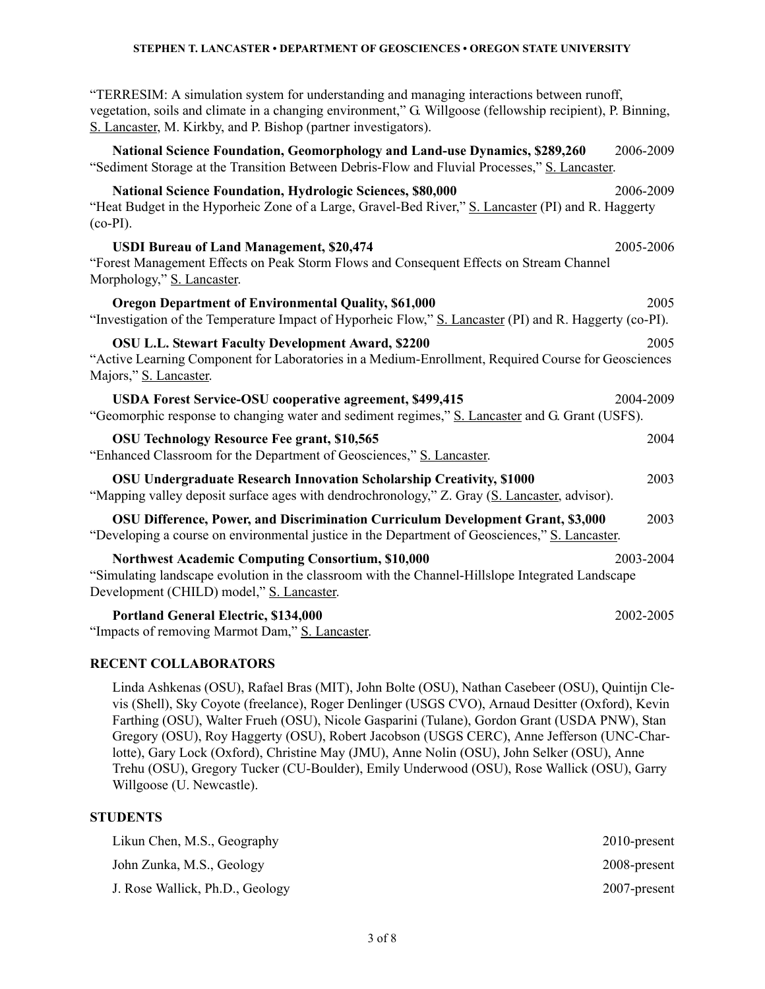"TERRESIM: A simulation system for understanding and managing interactions between runoff, vegetation, soils and climate in a changing environment," G. Willgoose (fellowship recipient), P. Binning, S. Lancaster, M. Kirkby, and P. Bishop (partner investigators).

**National Science Foundation, Geomorphology and Land-use Dynamics, \$289,260** 2006-2009 "Sediment Storage at the Transition Between Debris-Flow and Fluvial Processes," S. Lancaster.

| National Science Foundation, Hydrologic Sciences, \$80,000<br>"Heat Budget in the Hyporheic Zone of a Large, Gravel-Bed River," S. Lancaster (PI) and R. Haggerty<br>$(co-PI)$ .                   | 2006-2009 |
|----------------------------------------------------------------------------------------------------------------------------------------------------------------------------------------------------|-----------|
| <b>USDI Bureau of Land Management, \$20,474</b><br>"Forest Management Effects on Peak Storm Flows and Consequent Effects on Stream Channel<br>Morphology," S. Lancaster.                           | 2005-2006 |
| <b>Oregon Department of Environmental Quality, \$61,000</b><br>"Investigation of the Temperature Impact of Hyporheic Flow," S. Lancaster (PI) and R. Haggerty (co-PI).                             | 2005      |
| <b>OSU L.L. Stewart Faculty Development Award, \$2200</b><br>"Active Learning Component for Laboratories in a Medium-Enrollment, Required Course for Geosciences<br>Majors," S. Lancaster.         | 2005      |
| <b>USDA Forest Service-OSU cooperative agreement, \$499,415</b><br>"Geomorphic response to changing water and sediment regimes," S. Lancaster and G. Grant (USFS).                                 | 2004-2009 |
| <b>OSU Technology Resource Fee grant, \$10,565</b><br>"Enhanced Classroom for the Department of Geosciences," S. Lancaster.                                                                        | 2004      |
| <b>OSU Undergraduate Research Innovation Scholarship Creativity, \$1000</b><br>"Mapping valley deposit surface ages with dendrochronology," Z. Gray (S. Lancaster, advisor).                       | 2003      |
| OSU Difference, Power, and Discrimination Curriculum Development Grant, \$3,000<br>"Developing a course on environmental justice in the Department of Geosciences," S. Lancaster.                  | 2003      |
| Northwest Academic Computing Consortium, \$10,000<br>"Simulating landscape evolution in the classroom with the Channel-Hillslope Integrated Landscape<br>Development (CHILD) model," S. Lancaster. | 2003-2004 |
| <b>Portland General Electric, \$134,000</b><br>"Impacts of removing Marmot Dam," S. Lancaster.                                                                                                     | 2002-2005 |

#### **RECENT COLLABORATORS**

Linda Ashkenas (OSU), Rafael Bras (MIT), John Bolte (OSU), Nathan Casebeer (OSU), Quintijn Clevis (Shell), Sky Coyote (freelance), Roger Denlinger (USGS CVO), Arnaud Desitter (Oxford), Kevin Farthing (OSU), Walter Frueh (OSU), Nicole Gasparini (Tulane), Gordon Grant (USDA PNW), Stan Gregory (OSU), Roy Haggerty (OSU), Robert Jacobson (USGS CERC), Anne Jefferson (UNC-Charlotte), Gary Lock (Oxford), Christine May (JMU), Anne Nolin (OSU), John Selker (OSU), Anne Trehu (OSU), Gregory Tucker (CU-Boulder), Emily Underwood (OSU), Rose Wallick (OSU), Garry Willgoose (U. Newcastle).

# **STUDENTS**

| Likun Chen, M.S., Geography     | $2010$ -present |
|---------------------------------|-----------------|
| John Zunka, M.S., Geology       | 2008-present    |
| J. Rose Wallick, Ph.D., Geology | 2007-present    |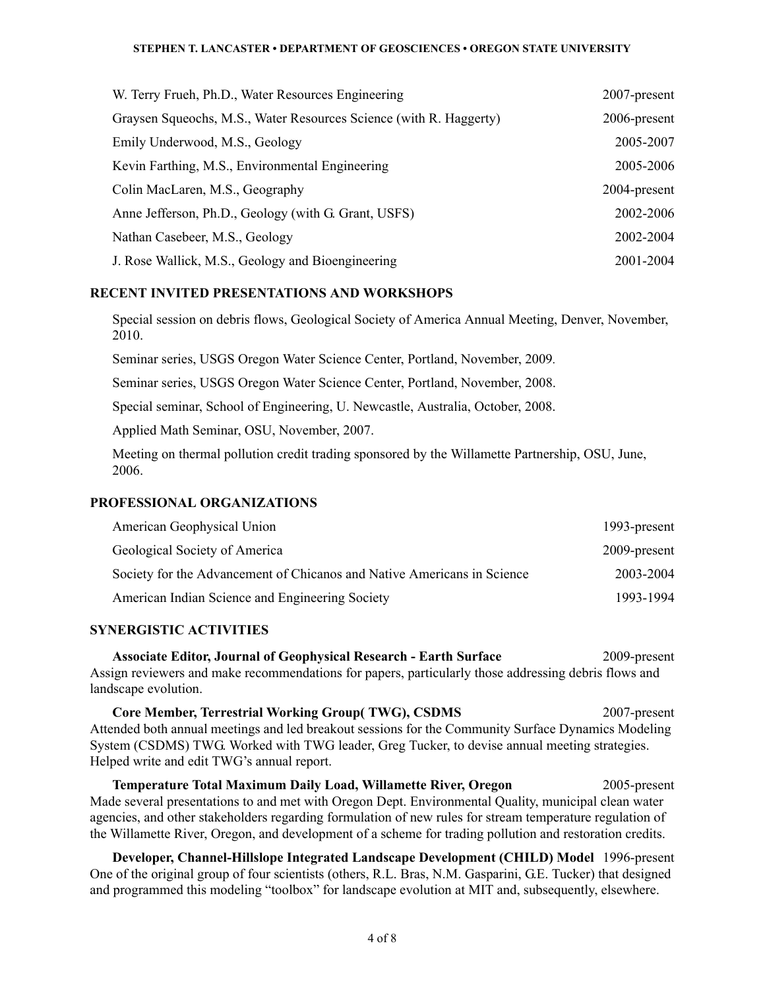| W. Terry Frueh, Ph.D., Water Resources Engineering                 | 2007-present |
|--------------------------------------------------------------------|--------------|
| Graysen Squeochs, M.S., Water Resources Science (with R. Haggerty) | 2006-present |
| Emily Underwood, M.S., Geology                                     | 2005-2007    |
| Kevin Farthing, M.S., Environmental Engineering                    | 2005-2006    |
| Colin MacLaren, M.S., Geography                                    | 2004-present |
| Anne Jefferson, Ph.D., Geology (with G. Grant, USFS)               | 2002-2006    |
| Nathan Casebeer, M.S., Geology                                     | 2002-2004    |
| J. Rose Wallick, M.S., Geology and Bioengineering                  | 2001-2004    |

# **RECENT INVITED PRESENTATIONS AND WORKSHOPS**

Special session on debris flows, Geological Society of America Annual Meeting, Denver, November, 2010.

Seminar series, USGS Oregon Water Science Center, Portland, November, 2009*.*

Seminar series, USGS Oregon Water Science Center, Portland, November, 2008.

Special seminar, School of Engineering, U. Newcastle, Australia, October, 2008.

Applied Math Seminar, OSU, November, 2007.

Meeting on thermal pollution credit trading sponsored by the Willamette Partnership, OSU, June, 2006.

# **PROFESSIONAL ORGANIZATIONS**

| American Geophysical Union                                              | 1993-present |
|-------------------------------------------------------------------------|--------------|
| Geological Society of America                                           | 2009-present |
| Society for the Advancement of Chicanos and Native Americans in Science | 2003-2004    |
| American Indian Science and Engineering Society                         | 1993-1994    |

# **SYNERGISTIC ACTIVITIES**

**Associate Editor, Journal of Geophysical Research - Earth Surface** 2009-present Assign reviewers and make recommendations for papers, particularly those addressing debris flows and landscape evolution.

**Core Member, Terrestrial Working Group( TWG), CSDMS** 2007-present Attended both annual meetings and led breakout sessions for the Community Surface Dynamics Modeling System (CSDMS) TWG. Worked with TWG leader, Greg Tucker, to devise annual meeting strategies. Helped write and edit TWG's annual report.

**Temperature Total Maximum Daily Load, Willamette River, Oregon** 2005-present Made several presentations to and met with Oregon Dept. Environmental Quality, municipal clean water agencies, and other stakeholders regarding formulation of new rules for stream temperature regulation of the Willamette River, Oregon, and development of a scheme for trading pollution and restoration credits.

**Developer, Channel-Hillslope Integrated Landscape Development (CHILD) Model** 1996-present One of the original group of four scientists (others, R.L. Bras, N.M. Gasparini, G.E. Tucker) that designed and programmed this modeling "toolbox" for landscape evolution at MIT and, subsequently, elsewhere.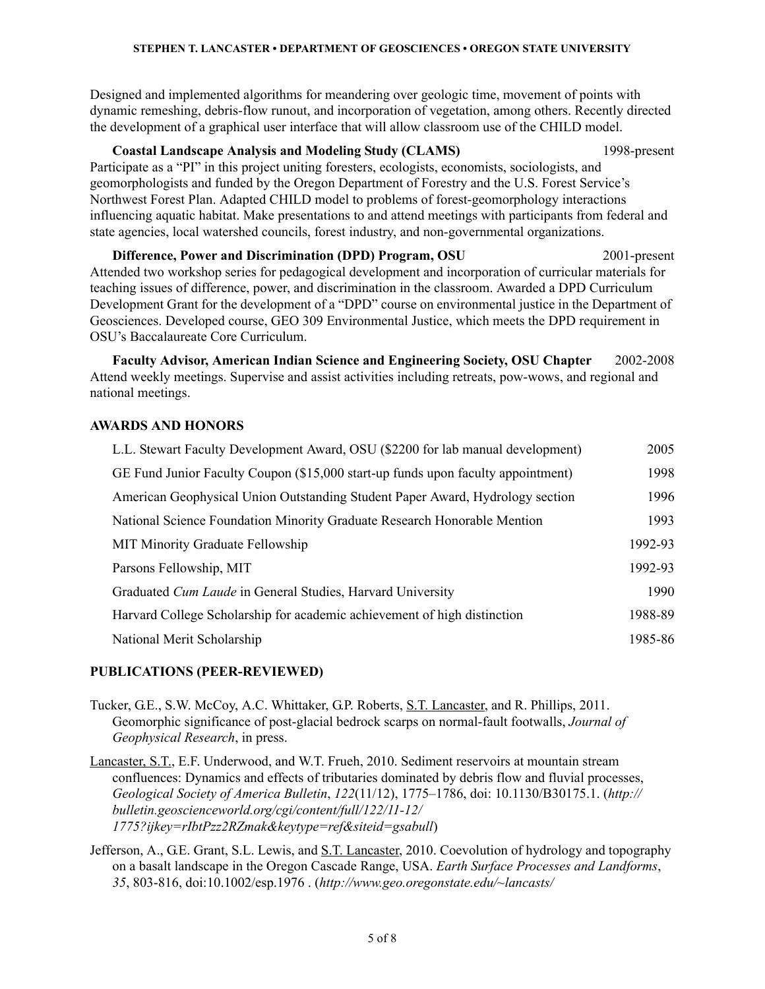Designed and implemented algorithms for meandering over geologic time, movement of points with dynamic remeshing, debris-flow runout, and incorporation of vegetation, among others. Recently directed the development of a graphical user interface that will allow classroom use of the CHILD model.

# **Coastal Landscape Analysis and Modeling Study (CLAMS)** 1998-present

Participate as a "PI" in this project uniting foresters, ecologists, economists, sociologists, and geomorphologists and funded by the Oregon Department of Forestry and the U.S. Forest Service's Northwest Forest Plan. Adapted CHILD model to problems of forest-geomorphology interactions influencing aquatic habitat. Make presentations to and attend meetings with participants from federal and state agencies, local watershed councils, forest industry, and non-governmental organizations.

**Difference, Power and Discrimination (DPD) Program, OSU** 2001-present Attended two workshop series for pedagogical development and incorporation of curricular materials for teaching issues of difference, power, and discrimination in the classroom. Awarded a DPD Curriculum Development Grant for the development of a "DPD" course on environmental justice in the Department of Geosciences. Developed course, GEO 309 Environmental Justice, which meets the DPD requirement in OSU's Baccalaureate Core Curriculum.

**Faculty Advisor, American Indian Science and Engineering Society, OSU Chapter** 2002-2008 Attend weekly meetings. Supervise and assist activities including retreats, pow-wows, and regional and national meetings.

#### **AWARDS AND HONORS**

| L.L. Stewart Faculty Development Award, OSU (\$2200 for lab manual development)  | 2005    |
|----------------------------------------------------------------------------------|---------|
| GE Fund Junior Faculty Coupon (\$15,000 start-up funds upon faculty appointment) | 1998    |
| American Geophysical Union Outstanding Student Paper Award, Hydrology section    | 1996    |
| National Science Foundation Minority Graduate Research Honorable Mention         | 1993    |
| <b>MIT Minority Graduate Fellowship</b>                                          | 1992-93 |
| Parsons Fellowship, MIT                                                          | 1992-93 |
| Graduated Cum Laude in General Studies, Harvard University                       | 1990    |
| Harvard College Scholarship for academic achievement of high distinction         | 1988-89 |
| National Merit Scholarship                                                       | 1985-86 |

# **PUBLICATIONS (PEER-REVIEWED)**

Tucker, G.E., S.W. McCoy, A.C. Whittaker, G.P. Roberts, S.T. Lancaster, and R. Phillips, 2011. Geomorphic significance of post-glacial bedrock scarps on normal-fault footwalls, *Journal of Geophysical Research*, in press.

Lancaster, S.T., E.F. Underwood, and W.T. Frueh, 2010. Sediment reservoirs at mountain stream confluences: Dynamics and effects of tributaries dominated by debris flow and fluvial processes, *Geological Society of America Bulletin*, *122*(11/12), 1775–1786, doi: 10.1130/B30175.1. (*http:// bulletin.geoscienceworld.org/cgi/content/full/122/11-12/ 1775?ijkey=rIbtPzz2RZmak&keytype=ref&siteid=gsabull*)

Jefferson, A., G.E. Grant, S.L. Lewis, and S.T. Lancaster, 2010. Coevolution of hydrology and topography on a basalt landscape in the Oregon Cascade Range, USA. *Earth Surface Processes and Landforms*, *35*, 803-816, doi:10.1002/esp.1976 . (*http://www.geo.oregonstate.edu/~lancasts/*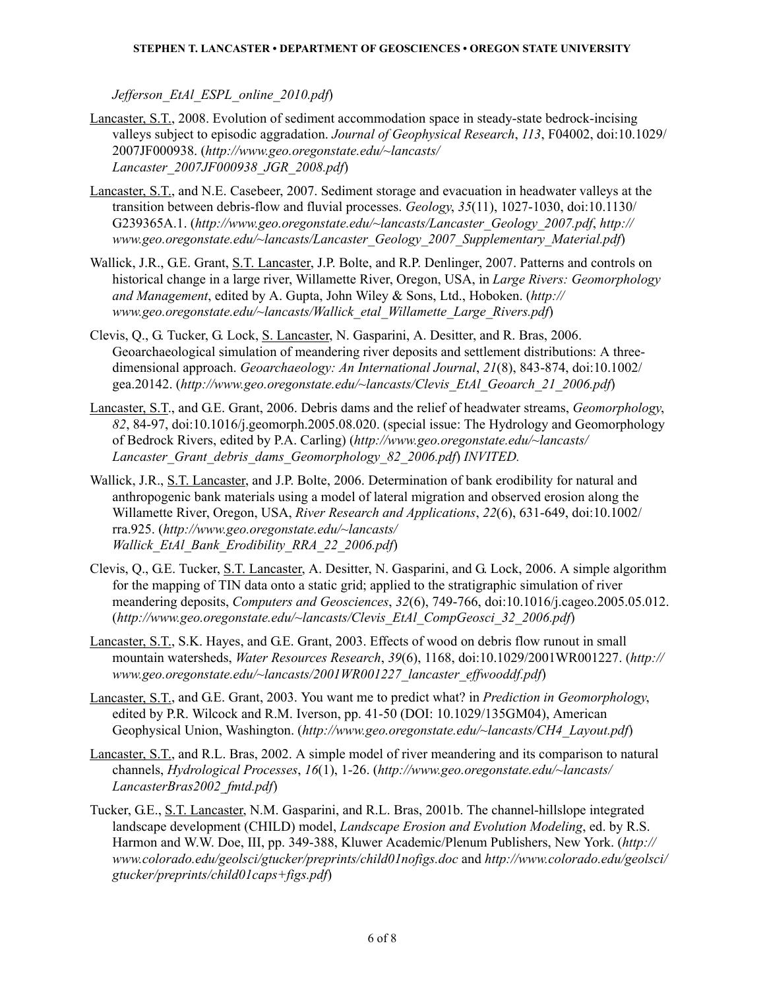*Jefferson\_EtAl\_ESPL\_online\_2010.pdf*)

- Lancaster, S.T., 2008. Evolution of sediment accommodation space in steady-state bedrock-incising valleys subject to episodic aggradation. *Journal of Geophysical Research*, *113*, F04002, doi:10.1029/ 2007JF000938. (*http://www.geo.oregonstate.edu/~lancasts/ Lancaster\_2007JF000938\_JGR\_2008.pdf*)
- Lancaster, S.T., and N.E. Casebeer, 2007. Sediment storage and evacuation in headwater valleys at the transition between debris-flow and fluvial processes. *Geology*, *35*(11), 1027-1030, doi:10.1130/ G239365A.1. (*http://www.geo.oregonstate.edu/~lancasts/Lancaster\_Geology\_2007.pdf*, *http:// www.geo.oregonstate.edu/~lancasts/Lancaster\_Geology\_2007\_Supplementary\_Material.pdf*)
- Wallick, J.R., G.E. Grant, S.T. Lancaster, J.P. Bolte, and R.P. Denlinger, 2007. Patterns and controls on historical change in a large river, Willamette River, Oregon, USA, in *Large Rivers: Geomorphology and Management*, edited by A. Gupta, John Wiley & Sons, Ltd., Hoboken. (*http:// www.geo.oregonstate.edu/~lancasts/Wallick\_etal\_Willamette\_Large\_Rivers.pdf*)
- Clevis, Q., G. Tucker, G. Lock, S. Lancaster, N. Gasparini, A. Desitter, and R. Bras, 2006. Geoarchaeological simulation of meandering river deposits and settlement distributions: A threedimensional approach. *Geoarchaeology: An International Journal*, *21*(8), 843-874, doi:10.1002/ gea.20142. (*[http://www.geo.oregonstate.edu/~lancasts/Clevis\\_EtAl\\_Geoarch\\_21\\_2006.pdf](http://www.colorado.edu/geolsci/gtucker/preprints/Clevis_etal_geoarch_2005_txt_figs.pdf)*)
- Lancaster, S.T., and G.E. Grant, 2006. Debris dams and the relief of headwater streams, *Geomorphology*, *82*, 84-97, doi:10.1016/j.geomorph.2005.08.020. (special issue: The Hydrology and Geomorphology of Bedrock Rivers, edited by P.A. Carling) (*[http://www.geo.oregonstate.edu/~lancasts/](http://www.geo.oregonstate.edu/~lancasts/Lancaster_Grant_debris_dams_Geomorphology_2006_in_press.pdf) [Lancaster\\_Grant\\_debris\\_dams\\_Geomorphology\\_82\\_2006.pdf](http://www.geo.oregonstate.edu/~lancasts/Lancaster_Grant_debris_dams_Geomorphology_2006_in_press.pdf)*) *INVITED.*
- Wallick, J.R., S.T. Lancaster, and J.P. Bolte, 2006. Determination of bank erodibility for natural and anthropogenic bank materials using a model of lateral migration and observed erosion along the Willamette River, Oregon, USA, *River Research and Applications*, *22*(6), 631-649, doi:10.1002/ rra.925. (*[http://www.geo.oregonstate.edu/~lancasts/](http://www.geo.oregonstate.edu/~lancasts/Wallick_EtAl_Bank_Erodibility_RRA_22_2006.pdf) [Wallick\\_EtAl\\_Bank\\_Erodibility\\_RRA\\_22\\_2006.pdf](http://www.geo.oregonstate.edu/~lancasts/Wallick_EtAl_Bank_Erodibility_RRA_22_2006.pdf)*)
- Clevis, Q., G.E. Tucker, S.T. Lancaster, A. Desitter, N. Gasparini, and G. Lock, 2006. A simple algorithm for the mapping of TIN data onto a static grid; applied to the stratigraphic simulation of river meandering deposits, *Computers and Geosciences*, *32*(6), 749-766, doi:10.1016/j.cageo.2005.05.012. (*[http://www.geo.oregonstate.edu/~lancasts/Clevis\\_EtAl\\_CompGeosci\\_32\\_2006.pdf](http://www.geo.oregonstate.edu/~lancasts/Clevis_EtAl_CompGeosci_32_2006.pdf)*)
- Lancaster, S.T., S.K. Hayes, and G.E. Grant, 2003. Effects of wood on debris flow runout in small mountain watersheds, *Water Resources Research*, *39*(6), 1168, doi:10.1029/2001WR001227. (*[http://](http://www.geo.oregonstate.edu/~lancasts/2001WR001227_lancaster_effwooddf.pdf) [www.geo.oregonstate.edu/~lancasts/2001WR001227\\_lancaster\\_effwooddf.pdf](http://www.geo.oregonstate.edu/~lancasts/2001WR001227_lancaster_effwooddf.pdf)*)
- Lancaster, S.T., and G.E. Grant, 2003. You want me to predict what? in *Prediction in Geomorphology*, edited by P.R. Wilcock and R.M. Iverson, pp. 41-50 (DOI: 10.1029/135GM04), American Geophysical Union, Washington. (*[http://www.geo.oregonstate.edu/~lancasts/CH4\\_Layout.pdf](http://www.geo.oregonstate.edu/~lancasts/CH4_Layout.pdf)*)
- Lancaster, S.T., and R.L. Bras, 2002. A simple model of river meandering and its comparison to natural channels, *Hydrological Processes*, *16*(1), 1-26. (*[http://www.geo.oregonstate.edu/~lancasts/](http://www.geo.oregonstate.edu/~lancasts/LancasterBras2002_fmtd.pdf) [LancasterBras2002\\_fmtd.pdf](http://www.geo.oregonstate.edu/~lancasts/LancasterBras2002_fmtd.pdf)*)
- Tucker, G.E., S.T. Lancaster, N.M. Gasparini, and R.L. Bras, 2001b. The channel-hillslope integrated landscape development (CHILD) model, *Landscape Erosion and Evolution Modeling*, ed. by R.S. Harmon and W.W. Doe, III, pp. 349-388, Kluwer Academic/Plenum Publishers, New York. (*[http://](http://www.colorado.edu/geolsci/gtucker/preprints/child01nofigs.doc) [www.colorado.edu/geolsci/gtucker/preprints/child01nofigs.doc](http://www.colorado.edu/geolsci/gtucker/preprints/child01nofigs.doc)* and *[http://www.colorado.edu/geolsci/](http://www.colorado.edu/geolsci/gtucker/preprints/child01caps+figs.pdf) [gtucker/preprints/child01caps+figs.pdf](http://www.colorado.edu/geolsci/gtucker/preprints/child01caps+figs.pdf)*)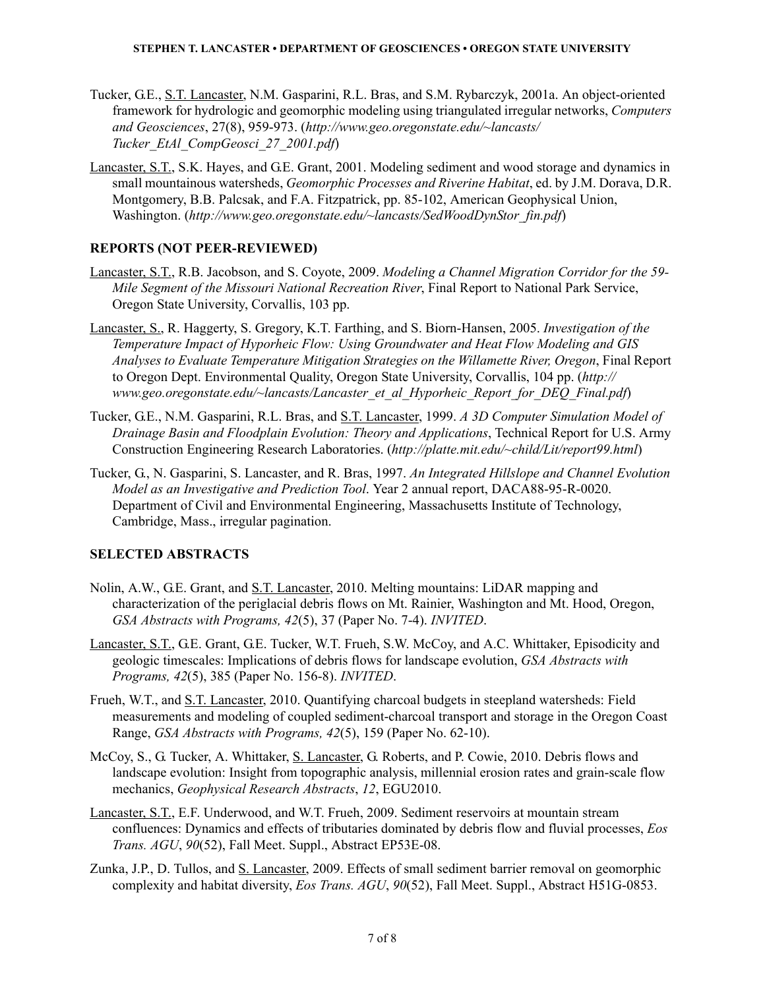- Tucker, G.E., S.T. Lancaster, N.M. Gasparini, R.L. Bras, and S.M. Rybarczyk, 2001a. An object-oriented framework for hydrologic and geomorphic modeling using triangulated irregular networks, *Computers and Geosciences*, 27(8), 959-973. (*[http://www.geo.oregonstate.edu/~lancasts/](http://www.geo.oregonstate.edu/~lancasts/Tucker_EtAl_CompGeosci_27_2001.pdf) [Tucker\\_EtAl\\_CompGeosci\\_27\\_2001.pdf](http://www.geo.oregonstate.edu/~lancasts/Tucker_EtAl_CompGeosci_27_2001.pdf)*)
- Lancaster, S.T., S.K. Hayes, and G.E. Grant, 2001. Modeling sediment and wood storage and dynamics in small mountainous watersheds, *Geomorphic Processes and Riverine Habitat*, ed. by J.M. Dorava, D.R. Montgomery, B.B. Palcsak, and F.A. Fitzpatrick, pp. 85-102, American Geophysical Union, Washington. (*[http://www.geo.oregonstate.edu/~lancasts/SedWoodDynStor\\_fin.pdf](http://www.geo.oregonstate.edu/~lancasts/SedWoodDynStor_fin.pdf)*)

# **REPORTS (NOT PEER-REVIEWED)**

- Lancaster, S.T., R.B. Jacobson, and S. Coyote, 2009. *Modeling a Channel Migration Corridor for the 59- Mile Segment of the Missouri National Recreation River*, Final Report to National Park Service, Oregon State University, Corvallis, 103 pp.
- Lancaster, S., R. Haggerty, S. Gregory, K.T. Farthing, and S. Biorn-Hansen, 2005. *Investigation of the Temperature Impact of Hyporheic Flow: Using Groundwater and Heat Flow Modeling and GIS Analyses to Evaluate Temperature Mitigation Strategies on the Willamette River, Oregon*, Final Report to Oregon Dept. Environmental Quality, Oregon State University, Corvallis, 104 pp. (*[http://](http://www.geo.oregonstate.edu/~lancasts/Lancaster_et_al_Hyporheic_Report_for_DEQ_Final.pdf) [www.geo.oregonstate.edu/~lancasts/Lancaster\\_et\\_al\\_Hyporheic\\_Report\\_for\\_DEQ\\_Final.pdf](http://www.geo.oregonstate.edu/~lancasts/Lancaster_et_al_Hyporheic_Report_for_DEQ_Final.pdf)*)
- Tucker, G.E., N.M. Gasparini, R.L. Bras, and S.T. Lancaster, 1999. *A 3D Computer Simulation Model of Drainage Basin and Floodplain Evolution: Theory and Applications*, Technical Report for U.S. Army Construction Engineering Research Laboratories. (*<http://platte.mit.edu/~child/Lit/report99.html>*)
- Tucker, G., N. Gasparini, S. Lancaster, and R. Bras, 1997. *An Integrated Hillslope and Channel Evolution Model as an Investigative and Prediction Tool*. Year 2 annual report, DACA88-95-R-0020. Department of Civil and Environmental Engineering, Massachusetts Institute of Technology, Cambridge, Mass., irregular pagination.

# **SELECTED ABSTRACTS**

- Nolin, A.W., G.E. Grant, and S.T. Lancaster, 2010. Melting mountains: LiDAR mapping and characterization of the periglacial debris flows on Mt. Rainier, Washington and Mt. Hood, Oregon, *GSA Abstracts with Programs, 42*(5), 37 (Paper No. 7-4). *INVITED*.
- Lancaster, S.T., G.E. Grant, G.E. Tucker, W.T. Frueh, S.W. McCoy, and A.C. Whittaker, Episodicity and geologic timescales: Implications of debris flows for landscape evolution, *GSA Abstracts with Programs, 42*(5), 385 (Paper No. 156-8). *INVITED*.
- Frueh, W.T., and S.T. Lancaster, 2010. Quantifying charcoal budgets in steepland watersheds: Field measurements and modeling of coupled sediment-charcoal transport and storage in the Oregon Coast Range, *GSA Abstracts with Programs, 42*(5), 159 (Paper No. 62-10).
- McCoy, S., G. Tucker, A. Whittaker, S. Lancaster, G. Roberts, and P. Cowie, 2010. Debris flows and landscape evolution: Insight from topographic analysis, millennial erosion rates and grain-scale flow mechanics, *Geophysical Research Abstracts*, *12*, EGU2010.
- Lancaster, S.T., E.F. Underwood, and W.T. Frueh, 2009. Sediment reservoirs at mountain stream confluences: Dynamics and effects of tributaries dominated by debris flow and fluvial processes, *Eos Trans. AGU*, *90*(52), Fall Meet. Suppl., Abstract EP53E-08.
- Zunka, J.P., D. Tullos, and S. Lancaster, 2009. Effects of small sediment barrier removal on geomorphic complexity and habitat diversity, *Eos Trans. AGU*, *90*(52), Fall Meet. Suppl., Abstract H51G-0853.